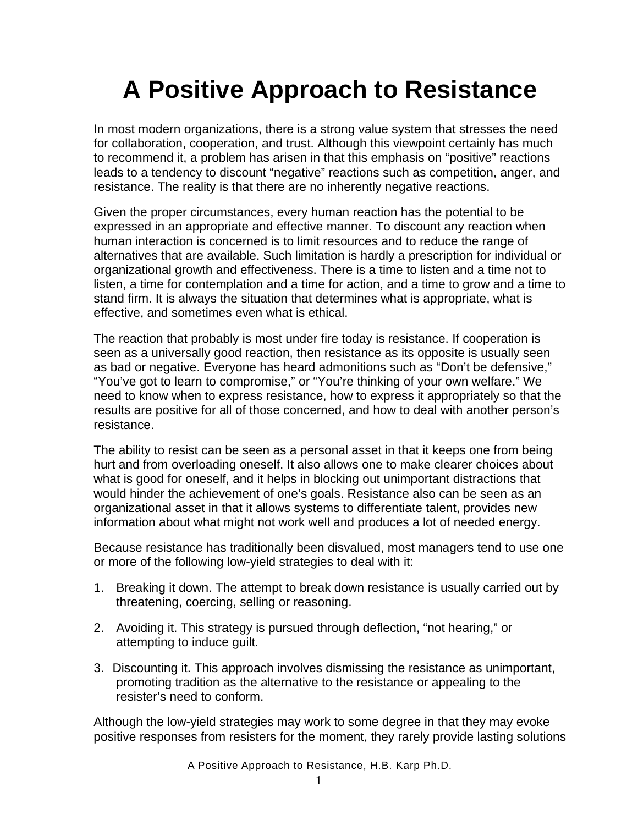## **A Positive Approach to Resistance**

In most modern organizations, there is a strong value system that stresses the need for collaboration, cooperation, and trust. Although this viewpoint certainly has much to recommend it, a problem has arisen in that this emphasis on "positive" reactions leads to a tendency to discount "negative" reactions such as competition, anger, and resistance. The reality is that there are no inherently negative reactions.

Given the proper circumstances, every human reaction has the potential to be expressed in an appropriate and effective manner. To discount any reaction when human interaction is concerned is to limit resources and to reduce the range of alternatives that are available. Such limitation is hardly a prescription for individual or organizational growth and effectiveness. There is a time to listen and a time not to listen, a time for contemplation and a time for action, and a time to grow and a time to stand firm. It is always the situation that determines what is appropriate, what is effective, and sometimes even what is ethical.

The reaction that probably is most under fire today is resistance. If cooperation is seen as a universally good reaction, then resistance as its opposite is usually seen as bad or negative. Everyone has heard admonitions such as "Don't be defensive," "You've got to learn to compromise," or "You're thinking of your own welfare." We need to know when to express resistance, how to express it appropriately so that the results are positive for all of those concerned, and how to deal with another person's resistance.

The ability to resist can be seen as a personal asset in that it keeps one from being hurt and from overloading oneself. It also allows one to make clearer choices about what is good for oneself, and it helps in blocking out unimportant distractions that would hinder the achievement of one's goals. Resistance also can be seen as an organizational asset in that it allows systems to differentiate talent, provides new information about what might not work well and produces a lot of needed energy.

Because resistance has traditionally been disvalued, most managers tend to use one or more of the following low-yield strategies to deal with it:

- 1. Breaking it down. The attempt to break down resistance is usually carried out by threatening, coercing, selling or reasoning.
- 2. Avoiding it. This strategy is pursued through deflection, "not hearing," or attempting to induce guilt.
- 3. Discounting it. This approach involves dismissing the resistance as unimportant, promoting tradition as the alternative to the resistance or appealing to the resister's need to conform.

Although the low-yield strategies may work to some degree in that they may evoke positive responses from resisters for the moment, they rarely provide lasting solutions

A Positive Approach to Resistance, H.B. Karp Ph.D.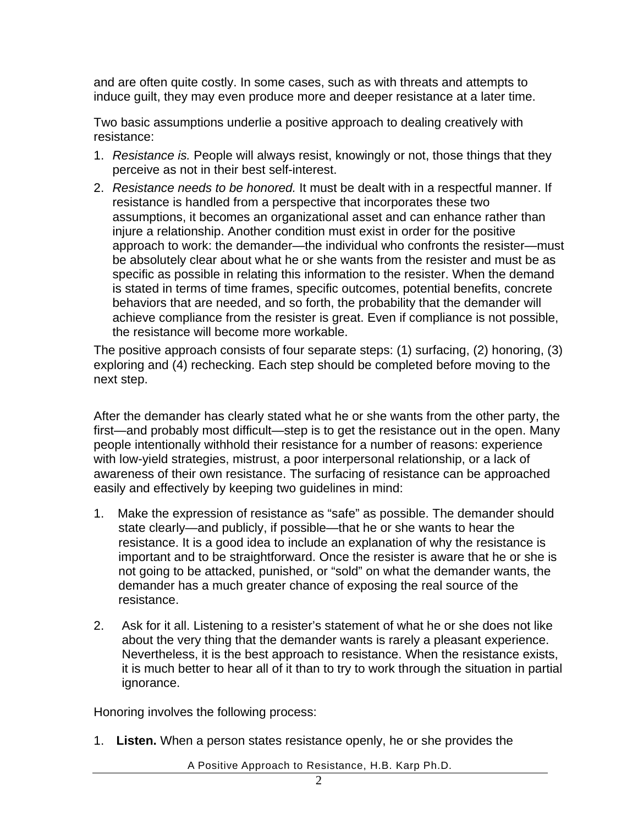and are often quite costly. In some cases, such as with threats and attempts to induce guilt, they may even produce more and deeper resistance at a later time.

Two basic assumptions underlie a positive approach to dealing creatively with resistance:

- 1. *Resistance is.* People will always resist, knowingly or not, those things that they perceive as not in their best self-interest.
- 2. *Resistance needs to be honored.* It must be dealt with in a respectful manner. If resistance is handled from a perspective that incorporates these two assumptions, it becomes an organizational asset and can enhance rather than injure a relationship. Another condition must exist in order for the positive approach to work: the demander—the individual who confronts the resister—must be absolutely clear about what he or she wants from the resister and must be as specific as possible in relating this information to the resister. When the demand is stated in terms of time frames, specific outcomes, potential benefits, concrete behaviors that are needed, and so forth, the probability that the demander will achieve compliance from the resister is great. Even if compliance is not possible, the resistance will become more workable.

The positive approach consists of four separate steps: (1) surfacing, (2) honoring, (3) exploring and (4) rechecking. Each step should be completed before moving to the next step.

After the demander has clearly stated what he or she wants from the other party, the first—and probably most difficult—step is to get the resistance out in the open. Many people intentionally withhold their resistance for a number of reasons: experience with low-yield strategies, mistrust, a poor interpersonal relationship, or a lack of awareness of their own resistance. The surfacing of resistance can be approached easily and effectively by keeping two guidelines in mind:

- 1. Make the expression of resistance as "safe" as possible. The demander should state clearly—and publicly, if possible—that he or she wants to hear the resistance. It is a good idea to include an explanation of why the resistance is important and to be straightforward. Once the resister is aware that he or she is not going to be attacked, punished, or "sold" on what the demander wants, the demander has a much greater chance of exposing the real source of the resistance.
- 2. Ask for it all. Listening to a resister's statement of what he or she does not like about the very thing that the demander wants is rarely a pleasant experience. Nevertheless, it is the best approach to resistance. When the resistance exists, it is much better to hear all of it than to try to work through the situation in partial ignorance.

Honoring involves the following process:

1. **Listen.** When a person states resistance openly, he or she provides the

A Positive Approach to Resistance, H.B. Karp Ph.D.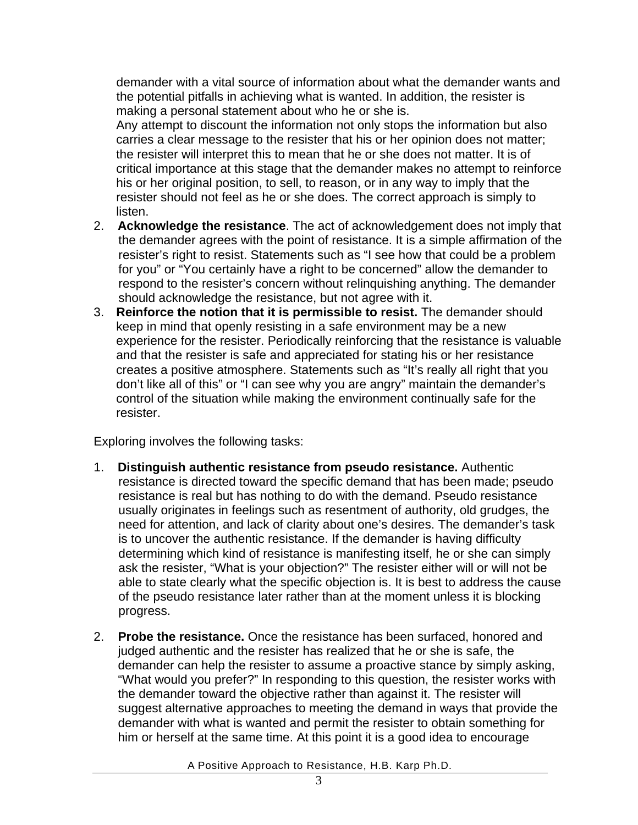demander with a vital source of information about what the demander wants and the potential pitfalls in achieving what is wanted. In addition, the resister is making a personal statement about who he or she is.

 Any attempt to discount the information not only stops the information but also carries a clear message to the resister that his or her opinion does not matter; the resister will interpret this to mean that he or she does not matter. It is of critical importance at this stage that the demander makes no attempt to reinforce his or her original position, to sell, to reason, or in any way to imply that the resister should not feel as he or she does. The correct approach is simply to listen.

- 2. **Acknowledge the resistance**. The act of acknowledgement does not imply that the demander agrees with the point of resistance. It is a simple affirmation of the resister's right to resist. Statements such as "I see how that could be a problem for you" or "You certainly have a right to be concerned" allow the demander to respond to the resister's concern without relinquishing anything. The demander should acknowledge the resistance, but not agree with it.
- 3. **Reinforce the notion that it is permissible to resist.** The demander should keep in mind that openly resisting in a safe environment may be a new experience for the resister. Periodically reinforcing that the resistance is valuable and that the resister is safe and appreciated for stating his or her resistance creates a positive atmosphere. Statements such as "It's really all right that you don't like all of this" or "I can see why you are angry" maintain the demander's control of the situation while making the environment continually safe for the resister.

Exploring involves the following tasks:

- 1. **Distinguish authentic resistance from pseudo resistance.** Authentic resistance is directed toward the specific demand that has been made; pseudo resistance is real but has nothing to do with the demand. Pseudo resistance usually originates in feelings such as resentment of authority, old grudges, the need for attention, and lack of clarity about one's desires. The demander's task is to uncover the authentic resistance. If the demander is having difficulty determining which kind of resistance is manifesting itself, he or she can simply ask the resister, "What is your objection?" The resister either will or will not be able to state clearly what the specific objection is. It is best to address the cause of the pseudo resistance later rather than at the moment unless it is blocking progress.
- 2. **Probe the resistance.** Once the resistance has been surfaced, honored and judged authentic and the resister has realized that he or she is safe, the demander can help the resister to assume a proactive stance by simply asking, "What would you prefer?" In responding to this question, the resister works with the demander toward the objective rather than against it. The resister will suggest alternative approaches to meeting the demand in ways that provide the demander with what is wanted and permit the resister to obtain something for him or herself at the same time. At this point it is a good idea to encourage

A Positive Approach to Resistance, H.B. Karp Ph.D.